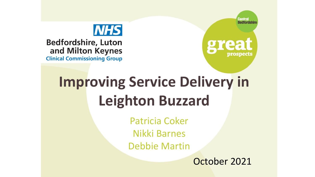



**Bedfordshire, Luton** and Milton Keynes **Clinical Commissioning Group** 



# **Improving Service Delivery in Leighton Buzzard**

Patricia Coker Nikki Barnes Debbie Martin

October 2021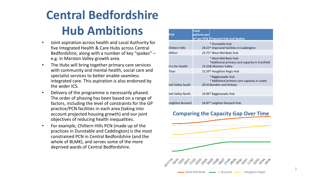# **Central Bedfordshire Hub Ambitions**

- Joint aspiration across health and Local Authority for five Integrated Health & Care Hubs across Central Bedfordshire, along with a number of key "spokes" – e.g. in Marston Valley growth area.
- The Hubs will bring together primary care services with community and mental health, social care and specialist services to better enable seamless integrated care. This aspiration is also endorsed by the wider ICS.
- Delivery of the programme is necessarily phased. The order of phasing has been based on a range of factors, including the level of constraints for the GP practice/PCN facilities in each area (taking into account projected housing growth) and our joint objectives of reducing health inequalities.
- For example, Chiltern Hills PCN (made up of the practices in Dunstable and Caddington) is the most constrained PCN in Central Bedfordshire (and the whole of BLMK), and serves some of the more deprived wards of Central Bedfordshire.

|                   | <b>Total</b> |                                                                                                |
|-------------------|--------------|------------------------------------------------------------------------------------------------|
| PCN               | patients per | m <sup>2</sup> per PCN Proposed Hub and Spokes                                                 |
|                   |              | * Dunstable Hub                                                                                |
| Chiltern Hills    |              | 28.53* Improved facilities in Caddington                                                       |
| Hillton           |              | 23.75* West Mid Beds Hub                                                                       |
| H is for Health   |              | * West Mid Beds Hub<br>*Additional primary care capacity in Cranfield<br>23.33& Marston Valley |
| Titan             |              | 21.59* Houghton Regis Hub                                                                      |
| Ivel Valley South |              | * Biggleswade Hub<br>* Additional primary care capacity in Lower<br>20.41Stondon and Arlesey   |
| Ivel Valley North |              | 19.90* Biggleswade Hub                                                                         |
| Leighton Buzzard  |              | 16.87* Leighton Buzzard Hub                                                                    |

#### **Comparing the Capacity Gap Over Time**

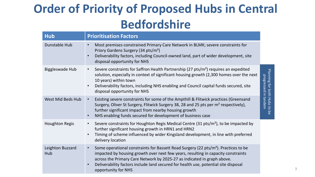# **Order of Priority of Proposed Hubs in Central Bedfordshire**

| <b>Hub</b>              | <b>Prioritisation Factors</b>                                                                                                                                                                                                                                                                                                                                                                           |                                                   |
|-------------------------|---------------------------------------------------------------------------------------------------------------------------------------------------------------------------------------------------------------------------------------------------------------------------------------------------------------------------------------------------------------------------------------------------------|---------------------------------------------------|
| Dunstable Hub           | Most premises-constrained Primary Care Network in BLMK; severe constraints for<br>$\bullet$<br>Priory Gardens Surgery (34 pts/m <sup>2</sup> )<br>Deliverability factors, including Council-owned land, part of wider development, site<br>disposal opportunity for NHS                                                                                                                                 |                                                   |
| <b>Biggleswade Hub</b>  | Severe constraints for Saffron Health Partnership (27 pts/m <sup>2</sup> ) requires an expedited<br>$\bullet$<br>solution, especially in context of significant housing growth (2,300 homes over the next<br>10 years) within town<br>Deliverability factors, including NHS enabling and Council capital funds secured, site<br>$\bullet$<br>disposal opportunity for NHS                               | Planning for both Hubs to<br>progressed in tandem |
| West Mid Beds Hub       | Existing severe constraints for some of the Ampthill & Flitwick practices (Greensand<br>$\bullet$<br>Surgery, Oliver St Surgery, Flitwick Surgery 38, 28 and 25 pts per m <sup>2</sup> respectively),<br>further significant impact from nearby housing growth<br>NHS enabling funds secured for development of business case<br>$\bullet$                                                              | $\overline{\sigma}$                               |
| <b>Houghton Regis</b>   | Severe constraints for Houghton Regis Medical Centre (31 pts/m <sup>2</sup> ), to be impacted by<br>$\bullet$<br>further significant housing growth in HRN1 and HRN2<br>Timing of scheme influenced by wider Kingsland development, in line with preferred<br>delivery location                                                                                                                         |                                                   |
| Leighton Buzzard<br>Hub | Some operational constraints for Bassett Road Surgery (22 pts/m <sup>2</sup> ). Practices to be<br>$\bullet$<br>impacted by housing growth over next few years, resulting in capacity constraints<br>across the Primary Care Network by 2025-27 as indicated in graph above.<br>Deliverability factors include land secured for health use, potential site disposal<br>$\bullet$<br>opportunity for NHS |                                                   |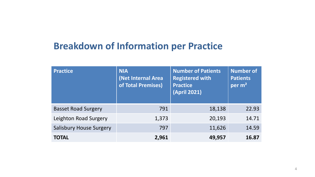### **Breakdown of Information per Practice**

| <b>Practice</b>                | <b>NIA</b><br>(Net Internal Area<br>of Total Premises) | <b>Number of Patients</b><br><b>Registered with</b><br><b>Practice</b><br>$(April 2021)^{n}$ | <b>Number of</b><br><b>Patients</b><br>per $m2$ |
|--------------------------------|--------------------------------------------------------|----------------------------------------------------------------------------------------------|-------------------------------------------------|
| <b>Basset Road Surgery</b>     | 791                                                    | 18,138                                                                                       | 22.93                                           |
| Leighton Road Surgery          | 1,373                                                  | 20,193                                                                                       | 14.71                                           |
| <b>Salisbury House Surgery</b> | 797                                                    | 11,626                                                                                       | 14.59                                           |
| <b>TOTAL</b>                   | 2,961                                                  | 49,957                                                                                       | 16.87                                           |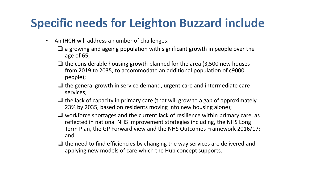## **Specific needs for Leighton Buzzard include**

- An IHCH will address a number of challenges:
	- ❑ a growing and ageing population with significant growth in people over the age of 65;
	- $\Box$  the considerable housing growth planned for the area (3,500 new houses from 2019 to 2035, to accommodate an additional population of c9000 people);
	- $\Box$  the general growth in service demand, urgent care and intermediate care services;
	- $\Box$  the lack of capacity in primary care (that will grow to a gap of approximately 23% by 2035, based on residents moving into new housing alone);
	- ❑ workforce shortages and the current lack of resilience within primary care, as reflected in national NHS improvement strategies including, the NHS Long Term Plan, the GP Forward view and the NHS Outcomes Framework 2016/17; and
	- $\Box$  the need to find efficiencies by changing the way services are delivered and applying new models of care which the Hub concept supports.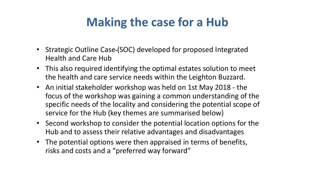## **Making the case for a Hub**

- Strategic Outline Case-(SOC) developed for proposed Integrated Health and Care Hub
- This also required identifying the optimal estates solution to meet the health and care service needs within the Leighton Buzzard.
- An initial stakeholder workshop was held on 1st May 2018 the focus of the workshop was gaining a common understanding of the specific needs of the locality and considering the potential scope of service for the Hub (key themes are summarised below)
- Second workshop to consider the potential location options for the Hub and to assess their relative advantages and disadvantages
- The potential options were then appraised in terms of benefits, risks and costs and a "preferred way forward"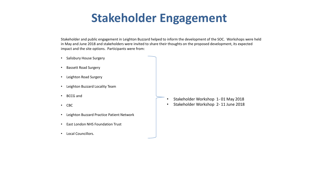## **Stakeholder Engagement**

Stakeholder and public engagement in Leighton Buzzard helped to inform the development of the SOC. Workshops were held in May and June 2018 and stakeholders were invited to share their thoughts on the proposed development, its expected impact and the site options. Participants were from:

- Salisbury House Surgery
- Bassett Road Surgery
- Leighton Road Surgery
- Leighton Buzzard Locality Team
- BCCG and
- CBC
- Leighton Buzzard Practice Patient Network
- East London NHS Foundation Trust
- Local Councillors.
- Stakeholder Workshop 1- 01 May 2018
- Stakeholder Workshop 2- 11 June 2018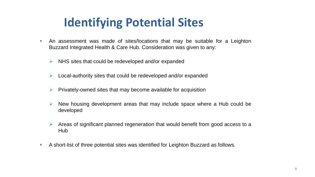## **Identifying Potential Sites**

- **An assessment was made of sites/locations that may be suitable for a Leighton** Buzzard Integrated Health & Care Hub. Consideration was given to any:
	- ➢ NHS sites that could be redeveloped and/or expanded
	- $\triangleright$  Local-authority sites that could be redeveloped and/or expanded
	- $\triangleright$  Privately-owned sites that may become available for acquisition
	- $\triangleright$  New housing development areas that may include space where a Hub could be developed
	- $\triangleright$  Areas of significant planned regeneration that would benefit from good access to a Hub
- A short-list of three potential sites was identified for Leighton Buzzard as follows.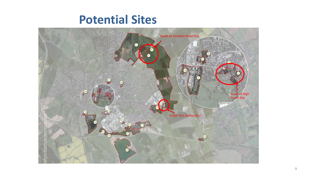### **Potential Sites**

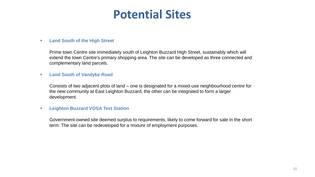## **Potential Sites**

#### ▪ **Land South of the High Street**

Prime town Centre site immediately south of Leighton Buzzard High Street, sustainably which will extend the town Centre's primary shopping area. The site can be developed as three connected and complementary land parcels.

#### ▪ **Land South of Vandyke Road**

Consists of two adjacent plots of land – one is designated for a mixed-use neighbourhood centre for the new community at East Leighton Buzzard, the other can be integrated to form a larger development.

#### ▪ **Leighton Buzzard VOSA Test Station**

Government-owned site deemed surplus to requirements, likely to come forward for sale in the short term. The site can be redeveloped for a mixture of employment purposes.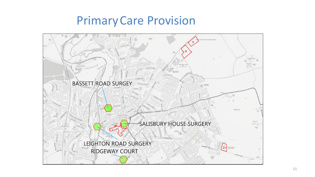## PrimaryCare Provision

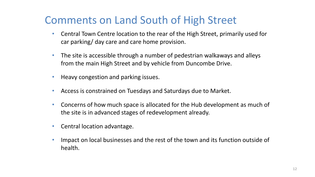### Comments on Land South of High Street

- Central Town Centre location to the rear of the High Street, primarily used for car parking/ day care and care home provision.
- The site is accessible through a number of pedestrian walkaways and alleys from the main High Street and by vehicle from Duncombe Drive.
- Heavy congestion and parking issues.
- Access is constrained on Tuesdays and Saturdays due to Market.
- Concerns of how much space is allocated for the Hub development as much of the site is in advanced stages of redevelopment already.
- Central location advantage.
- Impact on local businesses and the rest of the town and its function outside of health.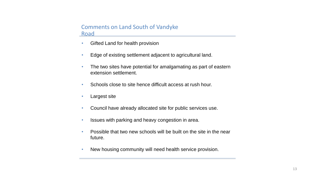#### Comments on Land South of Vandyke **Road**

- Gifted Land for health provision
- Edge of existing settlement adjacent to agricultural land.
- The two sites have potential for amalgamating as part of eastern extension settlement.
- Schools close to site hence difficult access at rush hour.
- Largest site
- Council have already allocated site for public services use.
- Issues with parking and heavy congestion in area.
- Possible that two new schools will be built on the site in the near future.
- New housing community will need health service provision.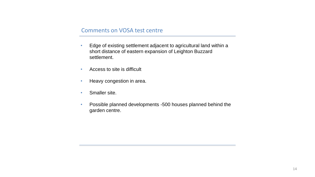#### Comments on VOSA test centre

- Edge of existing settlement adjacent to agricultural land within a short distance of eastern expansion of Leighton Buzzard settlement.
- Access to site is difficult
- Heavy congestion in area.
- Smaller site.
- Possible planned developments -500 houses planned behind the garden centre.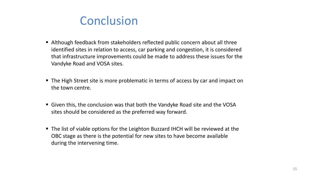### **Conclusion**

- Although feedback from stakeholders reflected public concern about all three identified sites in relation to access, car parking and congestion, it is considered that infrastructure improvements could be made to address these issues for the Vandyke Road and VOSA sites.
- The High Street site is more problematic in terms of access by car and impact on the town centre.
- Given this, the conclusion was that both the Vandyke Road site and the VOSA sites should be considered as the preferred way forward.
- The list of viable options for the Leighton Buzzard IHCH will be reviewed at the OBC stage as there is the potential for new sites to have become available during the intervening time.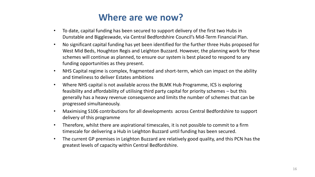### **Where are we now?**

- To date, capital funding has been secured to support delivery of the first two Hubs in Dunstable and Biggleswade, via Central Bedfordshire Council's Mid-Term Financial Plan.
- No significant capital funding has yet been identified for the further three Hubs proposed for West Mid Beds, Houghton Regis and Leighton Buzzard. However, the planning work for these schemes will continue as planned, to ensure our system is best placed to respond to any funding opportunities as they present.
- NHS Capital regime is complex, fragmented and short-term, which can impact on the ability and timeliness to deliver Estates ambitions
- Where NHS capital is not available across the BLMK Hub Programme, ICS is exploring feasibility and affordability of utilising third party capital for priority schemes – but this generally has a heavy revenue consequence and limits the number of schemes that can be progressed simultaneously.
- Maximising S106 contributions for all developments across Central Bedfordshire to support delivery of this programme
- Therefore, whilst there are aspirational timescales, it is not possible to commit to a firm timescale for delivering a Hub in Leighton Buzzard until funding has been secured.
- The current GP premises in Leighton Buzzard are relatively good quality, and this PCN has the greatest levels of capacity within Central Bedfordshire.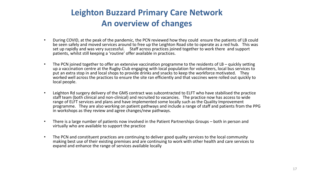### **Leighton Buzzard Primary Care Network An overview of changes**

- During COVID, at the peak of the pandemic, the PCN reviewed how they could ensure the patients of LB could be seen safely and moved services around to free up the Leighton Road site to operate as a red hub. This was set up rapidly and was very successful. Staff across practices joined together to work there and support patients, whilst still keeping a 'routine' offer available in practices.
- The PCN joined together to offer an extensive vaccination programme to the residents of LB quickly setting up a vaccination centre at the Rugby Club engaging with local population for volunteers, local bus services to put an extra stop in and local shops to provide drinks and snacks to keep the workforce motivated. They worked well across the practices to ensure the site ran efficiently and that vaccines were rolled out quickly to local people.
- Leighton Rd surgery delivery of the GMS contract was subcontracted to ELFT who have stabilised the practice staff team (both clinical and non-clinical) and recruited to vacancies. The practice now has access to wide range of ELFT services and plans and have implemented some locally such as the Quality Improvement programme. They are also working on patient pathways and include a range of staff and patients from the PPG in workshops as they review and agree changes/new pathways.
- There is a large number of patients now involved in the Patient Partnerships Groups both in person and virtually who are available to support the practice
- The PCN and constituent practices are continuing to deliver good quality services to the local community making best use of their existing premises and are continuing to work with other health and care services to expand and enhance the range of services available locally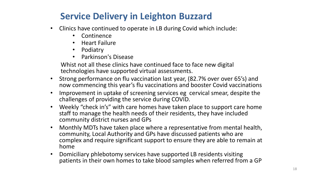### **Service Delivery in Leighton Buzzard**

- Clinics have continued to operate in LB during Covid which include:
	- Continence
	- Heart Failure
	- Podiatry
	- Parkinson's Disease

Whist not all these clinics have continued face to face new digital technologies have supported virtual assessments.

- Strong performance on flu vaccination last year, (82.7% over over 65's) and now commencing this year's flu vaccinations and booster Covid vaccinations
- Improvement in uptake of screening services eg cervical smear, despite the challenges of providing the service during COVID.
- Weekly "check in's" with care homes have taken place to support care home staff to manage the health needs of their residents, they have included community district nurses and GPs
- Monthly MDTs have taken place where a representative from mental health, community, Local Authority and GPs have discussed patients who are complex and require significant support to ensure they are able to remain at home
- Domiciliary phlebotomy services have supported LB residents visiting patients in their own homes to take blood samples when referred from a GP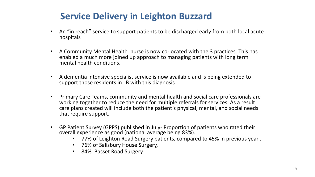### **Service Delivery in Leighton Buzzard**

- An "in reach" service to support patients to be discharged early from both local acute hospitals
- A Community Mental Health nurse is now co-located with the 3 practices. This has enabled a much more joined up approach to managing patients with long term mental health conditions.
- A dementia intensive specialist service is now available and is being extended to support those residents in LB with this diagnosis
- Primary Care Teams, community and mental health and social care professionals are working together to reduce the need for multiple referrals for services. As a result care plans created will include both the patient's physical, mental, and social needs that require support.
- GP Patient Survey (GPPS) published in July- Proportion of patients who rated their overall experience as good (national average being 83%).
	- 77% of Leighton Road Surgery patients, compared to 45% in previous year .
	- 76% of Salisbury House Surgery,
	- 84% Basset Road Surgery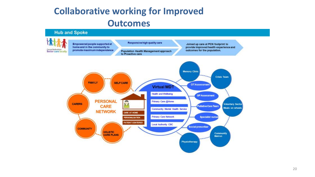### **Collaborative working for Improved Outcomes**